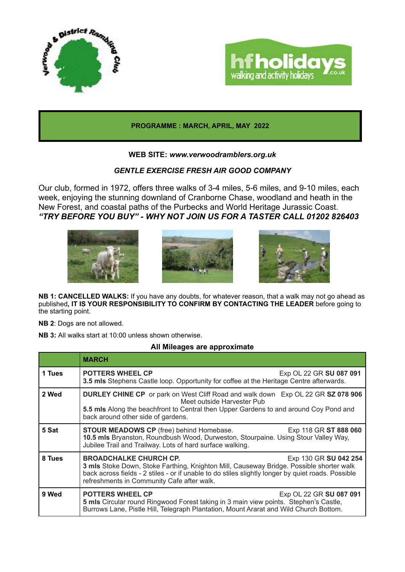



#### **PROGRAMME : MARCH, APRIL, MAY 2022**

### **WEB SITE:** *www.verwoodramblers.org.uk*

## *GENTLE EXERCISE FRESH AIR GOOD COMPANY*

Our club, formed in 1972, offers three walks of 3-4 miles, 5-6 miles, and 9-10 miles, each week, enjoying the stunning downland of Cranborne Chase, woodland and heath in the New Forest, and coastal paths of the Purbecks and World Heritage Jurassic Coast. *"TRY BEFORE YOU BUY" - WHY NOT JOIN US FOR A TASTER CALL 01202 826403* 



**NB 1: CANCELLED WALKS:** If you have any doubts, for whatever reason, that a walk may not go ahead as published, IT IS YOUR RESPONSIBILITY TO CONFIRM BY CONTACTING THE LEADER before going to the starting point.

**NB 2**: Dogs are not allowed.

**NB 3:** All walks start at 10:00 unless shown otherwise.

#### **All Mileages are approximate**

|        | <b>MARCH</b>                                                                                                                                                                                                                                                                                          |
|--------|-------------------------------------------------------------------------------------------------------------------------------------------------------------------------------------------------------------------------------------------------------------------------------------------------------|
| 1 Tues | <b>POTTERS WHEEL CP</b><br>Exp OL 22 GR SU 087 091<br>3.5 mls Stephens Castle loop. Opportunity for coffee at the Heritage Centre afterwards.                                                                                                                                                         |
| 2 Wed  | <b>DURLEY CHINE CP</b> or park on West Cliff Road and walk down Exp OL 22 GR SZ 078 906<br>Meet outside Harvester Pub<br>5.5 mls Along the beachfront to Central then Upper Gardens to and around Coy Pond and<br>back around other side of gardens.                                                  |
| 5 Sat  | <b>STOUR MEADOWS CP</b> (free) behind Homebase.<br>Exp 118 GR ST 888 060<br>10.5 mls Bryanston, Roundbush Wood, Durweston, Stourpaine. Using Stour Valley Way,<br>Jubilee Trail and Trailway. Lots of hard surface walking.                                                                           |
| 8 Tues | <b>BROADCHALKE CHURCH CP.</b><br>Exp 130 GR SU 042 254<br>3 mls Stoke Down, Stoke Farthing, Knighton Mill, Causeway Bridge. Possible shorter walk<br>back across fields - 2 stiles - or if unable to do stiles slightly longer by quiet roads. Possible<br>refreshments in Community Cafe after walk. |
| 9 Wed  | <b>POTTERS WHEEL CP</b><br>Exp OL 22 GR SU 087 091<br>5 mls Circular round Ringwood Forest taking in 3 main view points. Stephen's Castle,<br>Burrows Lane, Pistle Hill, Telegraph Plantation, Mount Ararat and Wild Church Bottom.                                                                   |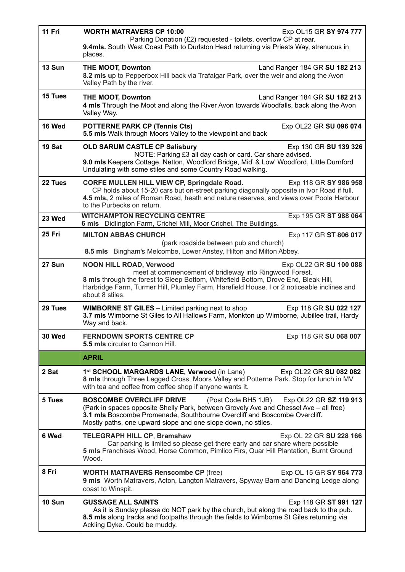| 11 Fri        | <b>WORTH MATRAVERS CP 10:00</b><br>Exp OL15 GR SY 974 777<br>Parking Donation (£2) requested - toilets, overflow CP at rear.<br>9.4mls. South West Coast Path to Durlston Head returning via Priests Way, strenuous in<br>places.                                                                                           |
|---------------|-----------------------------------------------------------------------------------------------------------------------------------------------------------------------------------------------------------------------------------------------------------------------------------------------------------------------------|
| 13 Sun        | <b>THE MOOT, Downton</b><br>Land Ranger 184 GR SU 182 213<br>8.2 mls up to Pepperbox Hill back via Trafalgar Park, over the weir and along the Avon<br>Valley Path by the river.                                                                                                                                            |
| 15 Tues       | <b>THE MOOT, Downton</b><br>Land Ranger 184 GR SU 182 213<br>4 mls Through the Moot and along the River Avon towards Woodfalls, back along the Avon<br>Valley Way.                                                                                                                                                          |
| 16 Wed        | <b>POTTERNE PARK CP (Tennis Cts)</b><br>Exp OL22 GR SU 096 074<br>5.5 mls Walk through Moors Valley to the viewpoint and back                                                                                                                                                                                               |
| 19 Sat        | <b>OLD SARUM CASTLE CP Salisbury</b><br>Exp 130 GR SU 139 326<br>NOTE: Parking £3 all day cash or card. Car share advised.<br>9.0 mls Keepers Cottage, Netton, Woodford Bridge, Mid' & Low' Woodford, Little Durnford<br>Undulating with some stiles and some Country Road walking.                                         |
| 22 Tues       | CORFE MULLEN HILL VIEW CP, Springdale Road.<br>Exp 118 GR SY 986 958<br>CP holds about 15-20 cars but on-street parking diagonally opposite in Ivor Road if full.<br>4.5 mls, 2 miles of Roman Road, heath and nature reserves, and views over Poole Harbour<br>to the Purbecks on return.                                  |
| 23 Wed        | <b>WITCHAMPTON RECYCLING CENTRE</b><br>Exp 195 GR ST 988 064<br>6 mls Didlington Farm, Crichel Mill, Moor Crichel, The Buildings.                                                                                                                                                                                           |
| <b>25 Fri</b> | <b>MILTON ABBAS CHURCH</b><br>Exp 117 GR ST 806 017<br>(park roadside between pub and church)<br>8.5 mls Bingham's Melcombe, Lower Anstey, Hilton and Milton Abbey.                                                                                                                                                         |
| 27 Sun        | <b>NOON HILL ROAD, Verwood</b><br>Exp OL22 GR SU 100 088<br>meet at commencement of bridleway into Ringwood Forest.<br>8 mls through the forest to Sleep Bottom, Whitefield Bottom, Drove End, Bleak Hill,<br>Harbridge Farm, Turmer Hill, Plumley Farm, Harefield House. I or 2 noticeable inclines and<br>about 8 stiles. |
| 29 Tues       | <b>WIMBORNE ST GILES</b> – Limited parking next to shop<br>Exp 118 GR SU 022 127<br>3.7 mls Wimborne St Giles to All Hallows Farm, Monkton up Wimborne, Jubillee trail, Hardy<br>Way and back.                                                                                                                              |
| 30 Wed        | <b>FERNDOWN SPORTS CENTRE CP</b><br>Exp 118 GR SU 068 007<br><b>5.5 mls</b> circular to Cannon Hill.                                                                                                                                                                                                                        |
|               | <b>APRIL</b>                                                                                                                                                                                                                                                                                                                |
| 2 Sat         | 1st SCHOOL MARGARDS LANE, Verwood (in Lane)<br>Exp OL22 GR SU 082 082<br>8 mls through Three Legged Cross, Moors Valley and Potterne Park. Stop for lunch in MV<br>with tea and coffee from coffee shop if anyone wants it.                                                                                                 |
| 5 Tues        | <b>BOSCOMBE OVERCLIFF DRIVE</b><br>(Post Code BH5 1JB)<br>Exp OL22 GR SZ 119 913<br>(Park in spaces opposite Shelly Park, between Grovely Ave and Chessel Ave - all free)<br>3.1 mls Boscombe Promenade, Southbourne Overcliff and Boscombe Overcliff.<br>Mostly paths, one upward slope and one slope down, no stiles.     |
| 6 Wed         | <b>TELEGRAPH HILL CP, Bramshaw</b><br>Exp OL 22 GR SU 228 166<br>Car parking is limited so please get there early and car share where possible<br>5 mls Franchises Wood, Horse Common, Pimlico Firs, Quar Hill Plantation, Burnt Ground<br>Wood.                                                                            |
| 8 Fri         | <b>WORTH MATRAVERS Renscombe CP (free)</b><br>Exp OL 15 GR SY 964 773<br>9 mls Worth Matravers, Acton, Langton Matravers, Spyway Barn and Dancing Ledge along<br>coast to Winspit.                                                                                                                                          |
| <b>10 Sun</b> | <b>GUSSAGE ALL SAINTS</b><br>Exp 118 GR ST 991 127<br>As it is Sunday please do NOT park by the church, but along the road back to the pub.<br>8.5 mls along tracks and footpaths through the fields to Wimborne St Giles returning via<br>Ackling Dyke. Could be muddy.                                                    |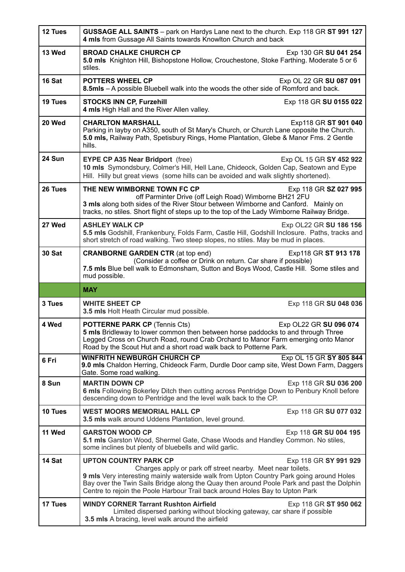| 12 Tues       | GUSSAGE ALL SAINTS - park on Hardys Lane next to the church. Exp 118 GR ST 991 127<br>4 mls from Gussage All Saints towards Knowlton Church and back                                                                                                                                                                                                                                         |
|---------------|----------------------------------------------------------------------------------------------------------------------------------------------------------------------------------------------------------------------------------------------------------------------------------------------------------------------------------------------------------------------------------------------|
| 13 Wed        | <b>BROAD CHALKE CHURCH CP</b><br>Exp 130 GR SU 041 254<br>5.0 mls Knighton Hill, Bishopstone Hollow, Crouchestone, Stoke Farthing. Moderate 5 or 6<br>stiles.                                                                                                                                                                                                                                |
| 16 Sat        | <b>POTTERS WHEEL CP</b><br>Exp OL 22 GR SU 087 091<br>8.5mls - A possible Bluebell walk into the woods the other side of Romford and back.                                                                                                                                                                                                                                                   |
| 19 Tues       | <b>STOCKS INN CP, Furzehill</b><br>Exp 118 GR SU 0155 022<br>4 mls High Hall and the River Allen valley.                                                                                                                                                                                                                                                                                     |
| 20 Wed        | <b>CHARLTON MARSHALL</b><br>Exp118 GR ST 901 040<br>Parking in layby on A350, south of St Mary's Church, or Church Lane opposite the Church.<br>5.0 mls, Railway Path, Spetisbury Rings, Home Plantation, Glebe & Manor Fms. 2 Gentle<br>hills.                                                                                                                                              |
| 24 Sun        | <b>EYPE CP A35 Near Bridport</b> (free)<br>Exp OL 15 GR SY 452 922<br>10 mls Symondsbury, Colmer's Hill, Hell Lane, Chideock, Golden Cap, Seatown and Eype<br>Hill. Hilly but great views (some hills can be avoided and walk slightly shortened).                                                                                                                                           |
| 26 Tues       | THE NEW WIMBORNE TOWN FC CP<br>Exp 118 GR SZ 027 995<br>off Parminter Drive (off Leigh Road) Wimborne BH21 2FU<br>3 mls along both sides of the River Stour between Wimborne and Canford. Mainly on<br>tracks, no stiles. Short flight of steps up to the top of the Lady Wimborne Railway Bridge.                                                                                           |
| 27 Wed        | <b>ASHLEY WALK CP</b><br>Exp OL22 GR SU 186 156<br>5.5 mls Godshill, Frankenbury, Folds Farm, Castle Hill, Godshill Inclosure. Paths, tracks and<br>short stretch of road walking. Two steep slopes, no stiles. May be mud in places.                                                                                                                                                        |
| <b>30 Sat</b> | <b>CRANBORNE GARDEN CTR (at top end)</b><br>Exp118 GR ST 913 178<br>(Consider a coffee or Drink on return. Car share if possible)<br>7.5 mls Blue bell walk to Edmonsham, Sutton and Boys Wood, Castle Hill. Some stiles and                                                                                                                                                                 |
|               | mud possible.                                                                                                                                                                                                                                                                                                                                                                                |
|               | <b>MAY</b>                                                                                                                                                                                                                                                                                                                                                                                   |
| 3 Tues        | <b>WHITE SHEET CP</b><br>Exp 118 GR SU 048 036<br>3.5 mls Holt Heath Circular mud possible.                                                                                                                                                                                                                                                                                                  |
| 4 Wed         | <b>POTTERNE PARK CP (Tennis Cts)</b><br>Exp OL22 GR SU 096 074<br>5 mls Bridleway to lower common then between horse paddocks to and through Three<br>Legged Cross on Church Road, round Crab Orchard to Manor Farm emerging onto Manor<br>Road by the Scout Hut and a short road walk back to Potterne Park.                                                                                |
| 6 Fri         | <b>WINFRITH NEWBURGH CHURCH CP</b><br>Exp OL 15 GR SY 805 844<br>9.0 mls Chaldon Herring, Chideock Farm, Durdle Door camp site, West Down Farm, Daggers<br>Gate. Some road walking.                                                                                                                                                                                                          |
| 8 Sun         | <b>MARTIN DOWN CP</b><br>Exp 118 GR SU 036 200<br>6 mls Following Bokerley Ditch then cutting across Pentridge Down to Penbury Knoll before<br>descending down to Pentridge and the level walk back to the CP.                                                                                                                                                                               |
| 10 Tues       | <b>WEST MOORS MEMORIAL HALL CP</b><br>Exp 118 GR SU 077 032<br>3.5 mls walk around Uddens Plantation, level ground.                                                                                                                                                                                                                                                                          |
| 11 Wed        | <b>GARSTON WOOD CP</b><br>Exp 118 GR SU 004 195<br>5.1 mls Garston Wood, Shermel Gate, Chase Woods and Handley Common. No stiles,<br>some inclines but plenty of bluebells and wild garlic.                                                                                                                                                                                                  |
| 14 Sat        | <b>UPTON COUNTRY PARK CP</b><br>Exp 118 GR SY 991 929<br>Charges apply or park off street nearby. Meet near toilets.<br>9 mls Very interesting mainly waterside walk from Upton Country Park going around Holes<br>Bay over the Twin Sails Bridge along the Quay then around Poole Park and past the Dolphin<br>Centre to rejoin the Poole Harbour Trail back around Holes Bay to Upton Park |